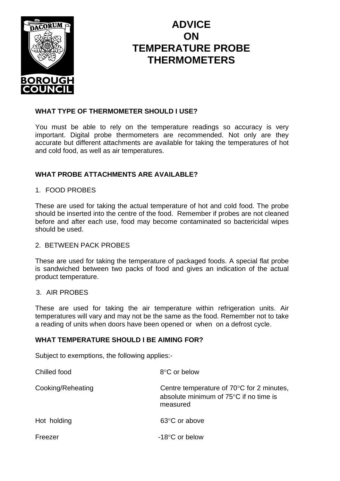

# **ADVICE ON TEMPERATURE PROBE THERMOMETERS**

#### **WHAT TYPE OF THERMOMETER SHOULD I USE?**

You must be able to rely on the temperature readings so accuracy is very important. Digital probe thermometers are recommended. Not only are they accurate but different attachments are available for taking the temperatures of hot and cold food, as well as air temperatures.

## **WHAT PROBE ATTACHMENTS ARE AVAILABLE?**

## 1. FOOD PROBES

These are used for taking the actual temperature of hot and cold food. The probe should be inserted into the centre of the food. Remember if probes are not cleaned before and after each use, food may become contaminated so bactericidal wipes should be used.

## 2. BETWEEN PACK PROBES

These are used for taking the temperature of packaged foods. A special flat probe is sandwiched between two packs of food and gives an indication of the actual product temperature.

#### 3. AIR PROBES

These are used for taking the air temperature within refrigeration units. Air temperatures will vary and may not be the same as the food. Remember not to take a reading of units when doors have been opened or when on a defrost cycle.

#### **WHAT TEMPERATURE SHOULD I BE AIMING FOR?**

Subject to exemptions, the following applies:-

| Chilled food      | 8°C or below                                                                                              |
|-------------------|-----------------------------------------------------------------------------------------------------------|
| Cooking/Reheating | Centre temperature of $70^{\circ}$ C for 2 minutes,<br>absolute minimum of 75°C if no time is<br>measured |
| Hot holding       | 63°C or above                                                                                             |
| Freezer           | $-18$ °C or below                                                                                         |